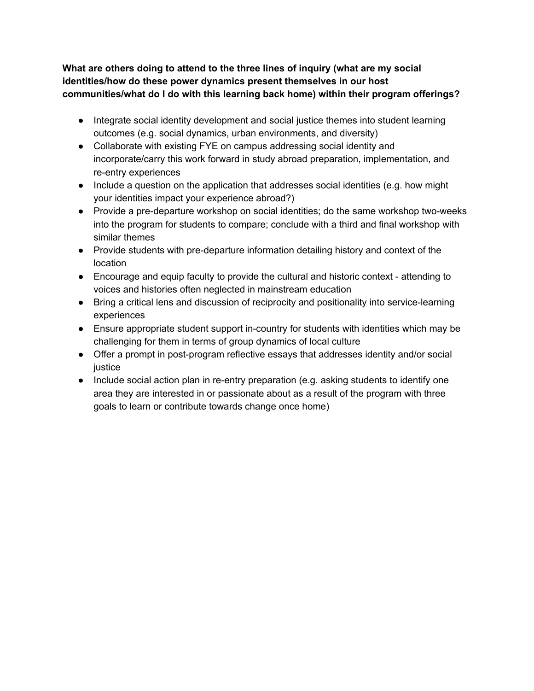## **What are others doing to attend to the three lines of inquiry (what are my social identities/how do these power dynamics present themselves in our host communities/what do I do with this learning back home) within their program offerings?**

- Integrate social identity development and social justice themes into student learning outcomes (e.g. social dynamics, urban environments, and diversity)
- Collaborate with existing FYE on campus addressing social identity and incorporate/carry this work forward in study abroad preparation, implementation, and re-entry experiences
- Include a question on the application that addresses social identities (e.g. how might your identities impact your experience abroad?)
- Provide a pre-departure workshop on social identities; do the same workshop two-weeks into the program for students to compare; conclude with a third and final workshop with similar themes
- Provide students with pre-departure information detailing history and context of the location
- Encourage and equip faculty to provide the cultural and historic context attending to voices and histories often neglected in mainstream education
- Bring a critical lens and discussion of reciprocity and positionality into service-learning experiences
- Ensure appropriate student support in-country for students with identities which may be challenging for them in terms of group dynamics of local culture
- Offer a prompt in post-program reflective essays that addresses identity and/or social justice
- Include social action plan in re-entry preparation (e.g. asking students to identify one area they are interested in or passionate about as a result of the program with three goals to learn or contribute towards change once home)